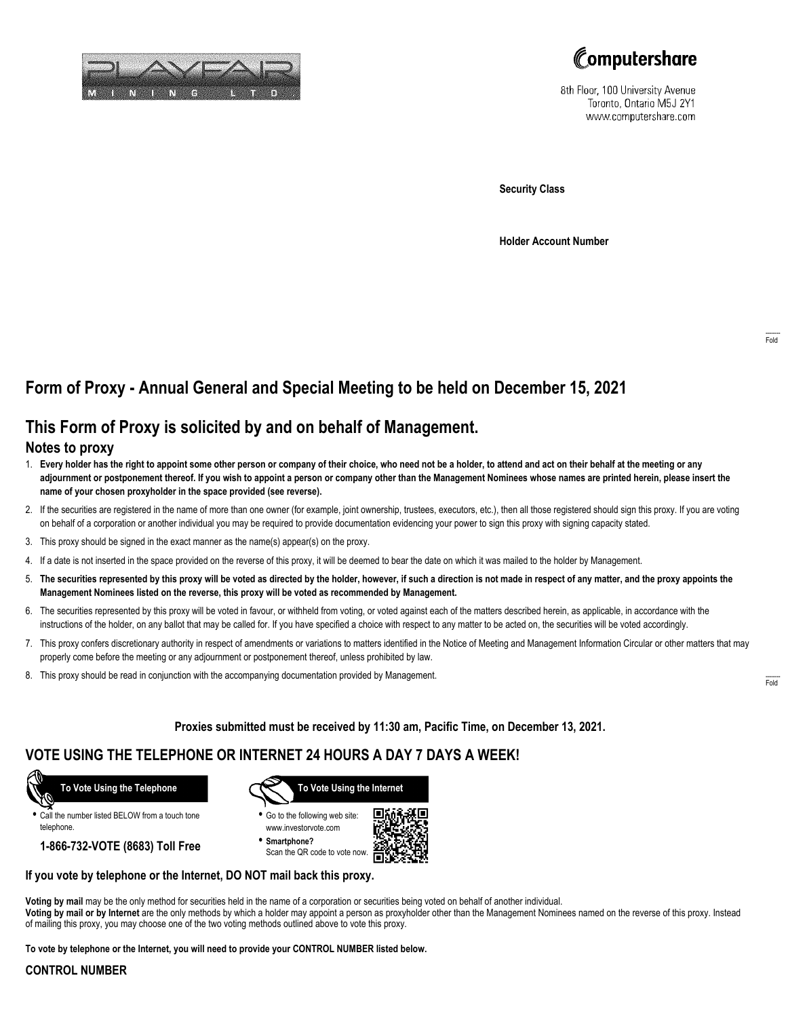



8th Floor, 100 University Avenue Toronto, Ontario M5J 2Y1 www.computershare.com

**Security Class**

**Holder Account Number**

# **Form of Proxy - Annual General and Special Meeting to be held on December 15, 2021**

## **This Form of Proxy is solicited by and on behalf of Management.**

#### **Notes to proxy**

- 1. **Every holder has the right to appoint some other person or company of their choice, who need not be a holder, to attend and act on their behalf at the meeting or any adjournment or postponement thereof. If you wish to appoint a person or company other than the Management Nominees whose names are printed herein, please insert the name of your chosen proxyholder in the space provided (see reverse).**
- 2. If the securities are registered in the name of more than one owner (for example, joint ownership, trustees, executors, etc.), then all those registered should sign this proxy. If you are voting on behalf of a corporation or another individual you may be required to provide documentation evidencing your power to sign this proxy with signing capacity stated.
- 3. This proxy should be signed in the exact manner as the name(s) appear(s) on the proxy.
- 4. If a date is not inserted in the space provided on the reverse of this proxy, it will be deemed to bear the date on which it was mailed to the holder by Management.
- 5. **The securities represented by this proxy will be voted as directed by the holder, however, if such a direction is not made in respect of any matter, and the proxy appoints the Management Nominees listed on the reverse, this proxy will be voted as recommended by Management.**
- 6. The securities represented by this proxy will be voted in favour, or withheld from voting, or voted against each of the matters described herein, as applicable, in accordance with the instructions of the holder, on any ballot that may be called for. If you have specified a choice with respect to any matter to be acted on, the securities will be voted accordingly.
- 7. This proxy confers discretionary authority in respect of amendments or variations to matters identified in the Notice of Meeting and Management Information Circular or other matters that may properly come before the meeting or any adjournment or postponement thereof, unless prohibited by law.
- 8. This proxy should be read in conjunction with the accompanying documentation provided by Management.

**Proxies submitted must be received by 11:30 am, Pacific Time, on December 13, 2021.**

## **VOTE USING THE TELEPHONE OR INTERNET 24 HOURS A DAY 7 DAYS A WEEK!**



**•** Call the number listed BELOW from a touch tone telephone.

**1-866-732-VOTE (8683) Toll Free**



**•** Go to the following web site: www.investorvote.com

**• Smartphone?** Scan the QR code to vote now.



#### **If you vote by telephone or the Internet, DO NOT mail back this proxy.**

**Voting by mail** may be the only method for securities held in the name of a corporation or securities being voted on behalf of another individual. **Voting by mail or by Internet** are the only methods by which a holder may appoint a person as proxyholder other than the Management Nominees named on the reverse of this proxy. Instead of mailing this proxy, you may choose one of the two voting methods outlined above to vote this proxy.

**To vote by telephone or the Internet, you will need to provide your CONTROL NUMBER listed below.**

#### **CONTROL NUMBER**